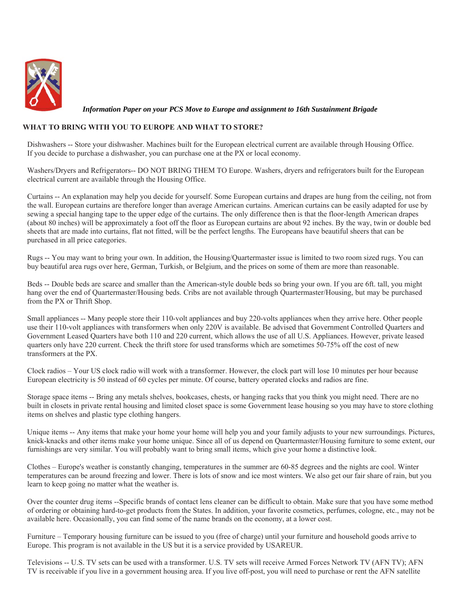

 *Information Paper on your PCS Move to Europe and assignment to 16th Sustainment Brigade*

#### **WHAT TO BRING WITH YOU TO EUROPE AND WHAT TO STORE?**

Dishwashers -- Store your dishwasher. Machines built for the European electrical current are available through Housing Office. If you decide to purchase a dishwasher, you can purchase one at the PX or local economy.

Washers/Dryers and Refrigerators-- DO NOT BRING THEM TO Europe. Washers, dryers and refrigerators built for the European electrical current are available through the Housing Office.

Curtains -- An explanation may help you decide for yourself. Some European curtains and drapes are hung from the ceiling, not from the wall. European curtains are therefore longer than average American curtains. American curtains can be easily adapted for use by sewing a special hanging tape to the upper edge of the curtains. The only difference then is that the floor-length American drapes (about 80 inches) will be approximately a foot off the floor as European curtains are about 92 inches. By the way, twin or double bed sheets that are made into curtains, flat not fitted, will be the perfect lengths. The Europeans have beautiful sheers that can be purchased in all price categories.

Rugs -- You may want to bring your own. In addition, the Housing/Quartermaster issue is limited to two room sized rugs. You can buy beautiful area rugs over here, German, Turkish, or Belgium, and the prices on some of them are more than reasonable.

Beds -- Double beds are scarce and smaller than the American-style double beds so bring your own. If you are 6ft. tall, you might hang over the end of Quartermaster/Housing beds. Cribs are not available through Quartermaster/Housing, but may be purchased from the PX or Thrift Shop.

Small appliances -- Many people store their 110-volt appliances and buy 220-volts appliances when they arrive here. Other people use their 110-volt appliances with transformers when only 220V is available. Be advised that Government Controlled Quarters and Government Leased Quarters have both 110 and 220 current, which allows the use of all U.S. Appliances. However, private leased quarters only have 220 current. Check the thrift store for used transforms which are sometimes 50-75% off the cost of new transformers at the PX.

Clock radios – Your US clock radio will work with a transformer. However, the clock part will lose 10 minutes per hour because European electricity is 50 instead of 60 cycles per minute. Of course, battery operated clocks and radios are fine.

Storage space items -- Bring any metals shelves, bookcases, chests, or hanging racks that you think you might need. There are no built in closets in private rental housing and limited closet space is some Government lease housing so you may have to store clothing items on shelves and plastic type clothing hangers.

Unique items -- Any items that make your home your home will help you and your family adjusts to your new surroundings. Pictures, knick-knacks and other items make your home unique. Since all of us depend on Quartermaster/Housing furniture to some extent, our furnishings are very similar. You will probably want to bring small items, which give your home a distinctive look.

Clothes – Europe's weather is constantly changing, temperatures in the summer are 60-85 degrees and the nights are cool. Winter temperatures can be around freezing and lower. There is lots of snow and ice most winters. We also get our fair share of rain, but you learn to keep going no matter what the weather is.

Over the counter drug items --Specific brands of contact lens cleaner can be difficult to obtain. Make sure that you have some method of ordering or obtaining hard-to-get products from the States. In addition, your favorite cosmetics, perfumes, cologne, etc., may not be available here. Occasionally, you can find some of the name brands on the economy, at a lower cost.

Furniture – Temporary housing furniture can be issued to you (free of charge) until your furniture and household goods arrive to Europe. This program is not available in the US but it is a service provided by USAREUR.

Televisions -- U.S. TV sets can be used with a transformer. U.S. TV sets will receive Armed Forces Network TV (AFN TV); AFN TV is receivable if you live in a government housing area. If you live off-post, you will need to purchase or rent the AFN satellite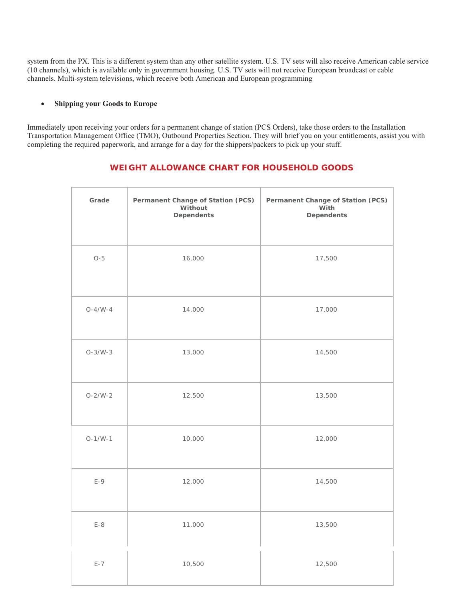system from the PX. This is a different system than any other satellite system. U.S. TV sets will also receive American cable service (10 channels), which is available only in government housing. U.S. TV sets will not receive European broadcast or cable channels. Multi-system televisions, which receive both American and European programming

#### **Shipping your Goods to Europe**

Immediately upon receiving your orders for a permanent change of station (PCS Orders), take those orders to the Installation Transportation Management Office (TMO), Outbound Properties Section. They will brief you on your entitlements, assist you with completing the required paperwork, and arrange for a day for the shippers/packers to pick up your stuff.

## **WEIGHT ALLOWANCE CHART FOR HOUSEHOLD GOODS**

| Grade     | Permanent Change of Station (PCS)<br>Without<br><b>Dependents</b> | Permanent Change of Station (PCS)<br>With<br><b>Dependents</b> |
|-----------|-------------------------------------------------------------------|----------------------------------------------------------------|
| $O-5$     | 16,000                                                            | 17,500                                                         |
| $O-4/W-4$ | 14,000                                                            | 17,000                                                         |
| $O-3/W-3$ | 13,000                                                            | 14,500                                                         |
| $O-2/W-2$ | 12,500                                                            | 13,500                                                         |
| $O-1/W-1$ | 10,000                                                            | 12,000                                                         |
| $E-9$     | 12,000                                                            | 14,500                                                         |
| $E-8$     | 11,000                                                            | 13,500                                                         |
| $E - 7$   | 10,500                                                            | 12,500                                                         |